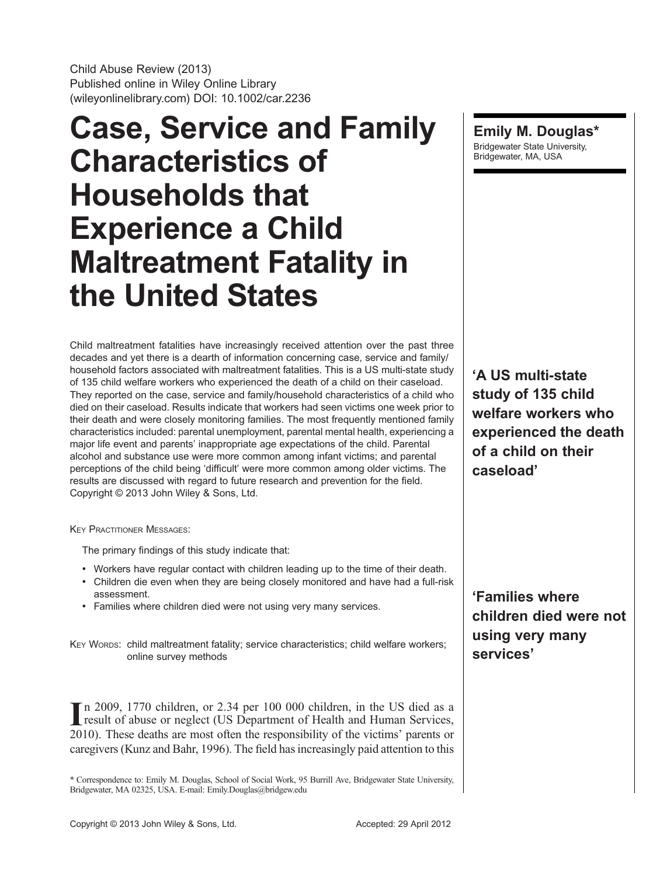Child Abuse Review (2013) Published online in Wiley Online Library (wileyonlinelibrary.com) DOI: 10.1002/car.2236

# Case, Service and Family Characteristics of Households that Experience a Child Maltreatment Fatality in the United States

Child maltreatment fatalities have increasingly received attention over the past three decades and yet there is a dearth of information concerning case, service and family/ household factors associated with maltreatment fatalities. This is a US multi-state study of 135 child welfare workers who experienced the death of a child on their caseload. They reported on the case, service and family/household characteristics of a child who died on their caseload. Results indicate that workers had seen victims one week prior to their death and were closely monitoring families. The most frequently mentioned family characteristics included: parental unemployment, parental mental health, experiencing a major life event and parents' inappropriate age expectations of the child. Parental alcohol and substance use were more common among infant victims; and parental perceptions of the child being 'difficult' were more common among older victims. The results are discussed with regard to future research and prevention for the field. Copyright © 2013 John Wiley & Sons, Ltd.

**KEY PRACTITIONER MESSAGES:** 

The primary findings of this study indicate that:

- Workers have regular contact with children leading up to the time of their death.
- Children die even when they are being closely monitored and have had a full-risk assessment.
- Families where children died were not using very many services.

KEY WORDS: child maltreatment fatality; service characteristics; child welfare workers; online survey methods

In 2009, 1770 children, or 2.34 per 100 000 children, in the US died as a result of abuse or neglect (US Department of Health and Human Services, result of abuse or neglect (US Department of Health and Human Services, 2010). These deaths are most often the responsibility of the victims' parents or caregivers (Kunz and Bahr, 1996). The field has increasingly paid attention to this

\* Correspondence to: Emily M. Douglas, School of Social Work, 95 Burrill Ave, Bridgewater State University, Bridgewater, MA 02325, USA. E-mail: Emily.Douglas@bridgew.edu

Emily M. Douglas\* Bridgewater State University, Bridgewater, MA, USA

'A US multi-state study of 135 child welfare workers who experienced the death of a child on their caseload'

'Families where children died were not using very many services'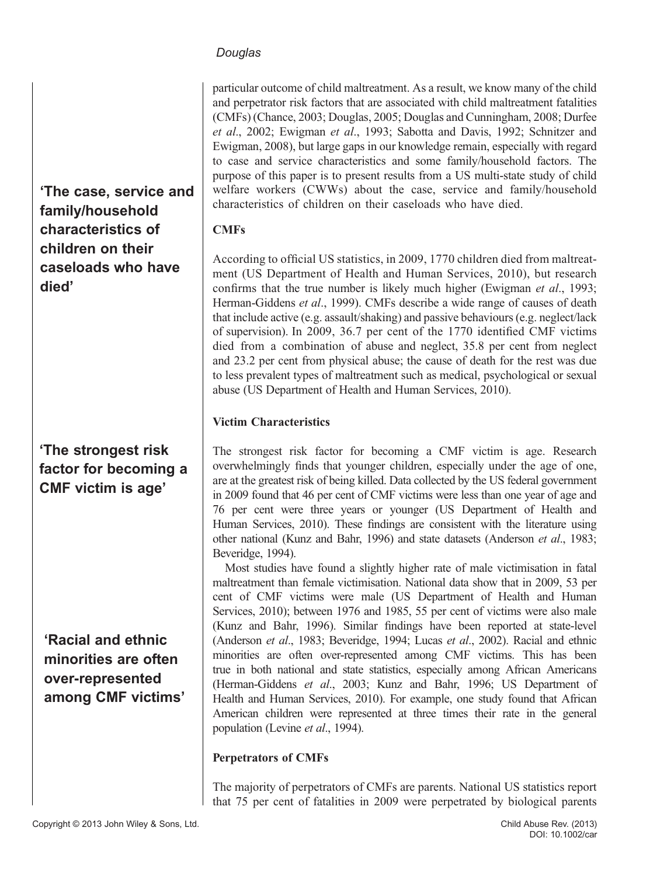particular outcome of child maltreatment. As a result, we know many of the child and perpetrator risk factors that are associated with child maltreatment fatalities (CMFs) (Chance, 2003; Douglas, 2005; Douglas and Cunningham, 2008; Durfee et al., 2002; Ewigman et al., 1993; Sabotta and Davis, 1992; Schnitzer and Ewigman, 2008), but large gaps in our knowledge remain, especially with regard to case and service characteristics and some family/household factors. The purpose of this paper is to present results from a US multi-state study of child welfare workers (CWWs) about the case, service and family/household characteristics of children on their caseloads who have died.

'The case, service and family/household characteristics of children on their caseloads who have died'

# 'The strongest risk factor for becoming a CMF victim is age'

'Racial and ethnic minorities are often over-represented among CMF victims' CMFs

According to official US statistics, in 2009, 1770 children died from maltreatment (US Department of Health and Human Services, 2010), but research confirms that the true number is likely much higher (Ewigman *et al.*, 1993; Herman-Giddens et al., 1999). CMFs describe a wide range of causes of death that include active (e.g. assault/shaking) and passive behaviours (e.g. neglect/lack of supervision). In 2009, 36.7 per cent of the 1770 identified CMF victims died from a combination of abuse and neglect, 35.8 per cent from neglect and 23.2 per cent from physical abuse; the cause of death for the rest was due to less prevalent types of maltreatment such as medical, psychological or sexual abuse (US Department of Health and Human Services, 2010).

## Victim Characteristics

The strongest risk factor for becoming a CMF victim is age. Research overwhelmingly finds that younger children, especially under the age of one, are at the greatest risk of being killed. Data collected by the US federal government in 2009 found that 46 per cent of CMF victims were less than one year of age and 76 per cent were three years or younger (US Department of Health and Human Services, 2010). These findings are consistent with the literature using other national (Kunz and Bahr, 1996) and state datasets (Anderson et al., 1983; Beveridge, 1994).

Most studies have found a slightly higher rate of male victimisation in fatal maltreatment than female victimisation. National data show that in 2009, 53 per cent of CMF victims were male (US Department of Health and Human Services, 2010); between 1976 and 1985, 55 per cent of victims were also male (Kunz and Bahr, 1996). Similar findings have been reported at state-level (Anderson et al., 1983; Beveridge, 1994; Lucas et al., 2002). Racial and ethnic minorities are often over-represented among CMF victims. This has been true in both national and state statistics, especially among African Americans (Herman-Giddens et al., 2003; Kunz and Bahr, 1996; US Department of Health and Human Services, 2010). For example, one study found that African American children were represented at three times their rate in the general population (Levine et al., 1994).

#### Perpetrators of CMFs

The majority of perpetrators of CMFs are parents. National US statistics report that 75 per cent of fatalities in 2009 were perpetrated by biological parents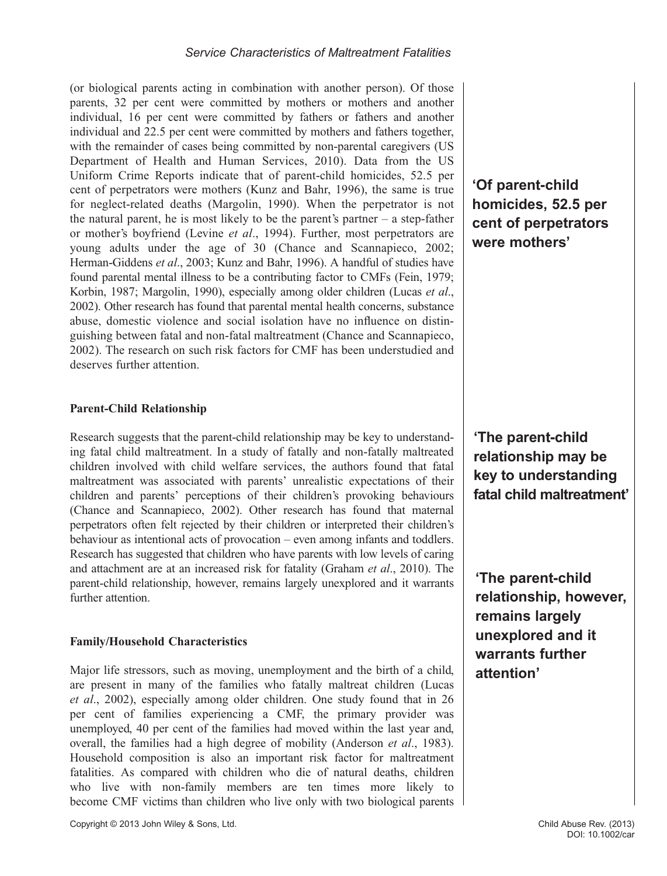(or biological parents acting in combination with another person). Of those parents, 32 per cent were committed by mothers or mothers and another individual, 16 per cent were committed by fathers or fathers and another individual and 22.5 per cent were committed by mothers and fathers together, with the remainder of cases being committed by non-parental caregivers (US Department of Health and Human Services, 2010). Data from the US Uniform Crime Reports indicate that of parent-child homicides, 52.5 per cent of perpetrators were mothers (Kunz and Bahr, 1996), the same is true for neglect-related deaths (Margolin, 1990). When the perpetrator is not the natural parent, he is most likely to be the parent's partner – a step-father or mother's boyfriend (Levine et al., 1994). Further, most perpetrators are young adults under the age of 30 (Chance and Scannapieco, 2002; Herman-Giddens et al., 2003; Kunz and Bahr, 1996). A handful of studies have found parental mental illness to be a contributing factor to CMFs (Fein, 1979; Korbin, 1987; Margolin, 1990), especially among older children (Lucas et al., 2002). Other research has found that parental mental health concerns, substance abuse, domestic violence and social isolation have no influence on distinguishing between fatal and non-fatal maltreatment (Chance and Scannapieco, 2002). The research on such risk factors for CMF has been understudied and deserves further attention.

#### Parent-Child Relationship

Research suggests that the parent-child relationship may be key to understanding fatal child maltreatment. In a study of fatally and non-fatally maltreated children involved with child welfare services, the authors found that fatal maltreatment was associated with parents' unrealistic expectations of their children and parents' perceptions of their children's provoking behaviours (Chance and Scannapieco, 2002). Other research has found that maternal perpetrators often felt rejected by their children or interpreted their children's behaviour as intentional acts of provocation – even among infants and toddlers. Research has suggested that children who have parents with low levels of caring and attachment are at an increased risk for fatality (Graham et al., 2010). The parent-child relationship, however, remains largely unexplored and it warrants further attention.

# Family/Household Characteristics

Major life stressors, such as moving, unemployment and the birth of a child, are present in many of the families who fatally maltreat children (Lucas et al., 2002), especially among older children. One study found that in 26 per cent of families experiencing a CMF, the primary provider was unemployed, 40 per cent of the families had moved within the last year and, overall, the families had a high degree of mobility (Anderson *et al.*, 1983). Household composition is also an important risk factor for maltreatment fatalities. As compared with children who die of natural deaths, children who live with non-family members are ten times more likely to become CMF victims than children who live only with two biological parents 'Of parent-child homicides, 52.5 per cent of perpetrators were mothers'

'The parent-child relationship may be key to understanding fatal child maltreatment'

'The parent-child relationship, however, remains largely unexplored and it warrants further attention'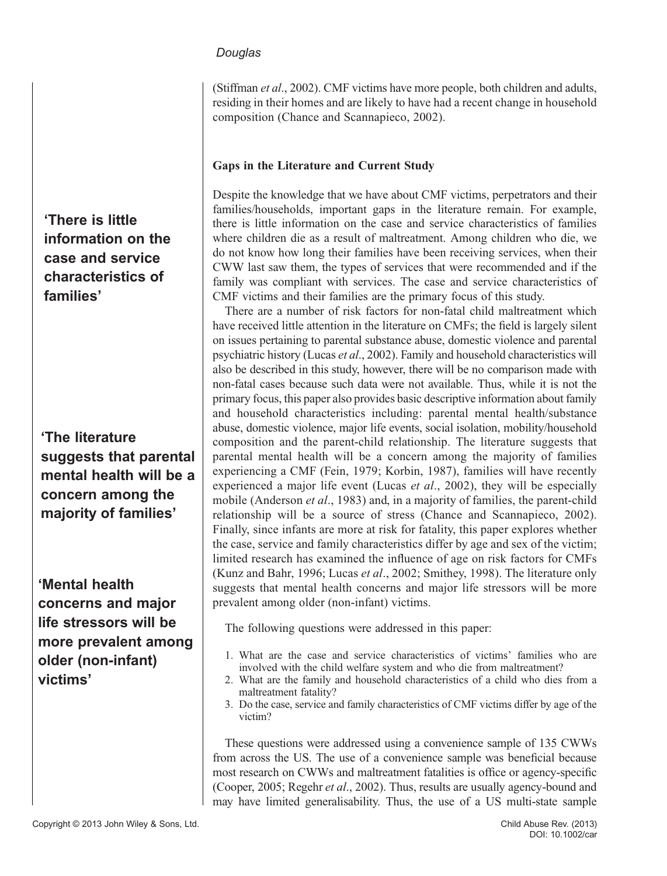(Stiffman et al., 2002). CMF victims have more people, both children and adults, residing in their homes and are likely to have had a recent change in household composition (Chance and Scannapieco, 2002).

#### Gaps in the Literature and Current Study

Despite the knowledge that we have about CMF victims, perpetrators and their families/households, important gaps in the literature remain. For example, there is little information on the case and service characteristics of families where children die as a result of maltreatment. Among children who die, we do not know how long their families have been receiving services, when their CWW last saw them, the types of services that were recommended and if the family was compliant with services. The case and service characteristics of CMF victims and their families are the primary focus of this study.

There are a number of risk factors for non-fatal child maltreatment which have received little attention in the literature on CMFs; the field is largely silent on issues pertaining to parental substance abuse, domestic violence and parental psychiatric history (Lucas et al., 2002). Family and household characteristics will also be described in this study, however, there will be no comparison made with non-fatal cases because such data were not available. Thus, while it is not the primary focus, this paper also provides basic descriptive information about family and household characteristics including: parental mental health/substance abuse, domestic violence, major life events, social isolation, mobility/household composition and the parent-child relationship. The literature suggests that parental mental health will be a concern among the majority of families experiencing a CMF (Fein, 1979; Korbin, 1987), families will have recently experienced a major life event (Lucas et al., 2002), they will be especially mobile (Anderson *et al.*, 1983) and, in a majority of families, the parent-child relationship will be a source of stress (Chance and Scannapieco, 2002). Finally, since infants are more at risk for fatality, this paper explores whether the case, service and family characteristics differ by age and sex of the victim; limited research has examined the influence of age on risk factors for CMFs (Kunz and Bahr, 1996; Lucas et al., 2002; Smithey, 1998). The literature only suggests that mental health concerns and major life stressors will be more prevalent among older (non-infant) victims.

The following questions were addressed in this paper:

- 1. What are the case and service characteristics of victims' families who are involved with the child welfare system and who die from maltreatment?
- 2. What are the family and household characteristics of a child who dies from a maltreatment fatality?
- 3. Do the case, service and family characteristics of CMF victims differ by age of the victim?

These questions were addressed using a convenience sample of 135 CWWs from across the US. The use of a convenience sample was beneficial because most research on CWWs and maltreatment fatalities is office or agency-specific (Cooper, 2005; Regehr et al., 2002). Thus, results are usually agency-bound and may have limited generalisability. Thus, the use of a US multi-state sample

'There is little information on the case and service characteristics of families'

'The literature suggests that parental mental health will be a concern among the majority of families'

'Mental health concerns and major life stressors will be more prevalent among older (non-infant) victims'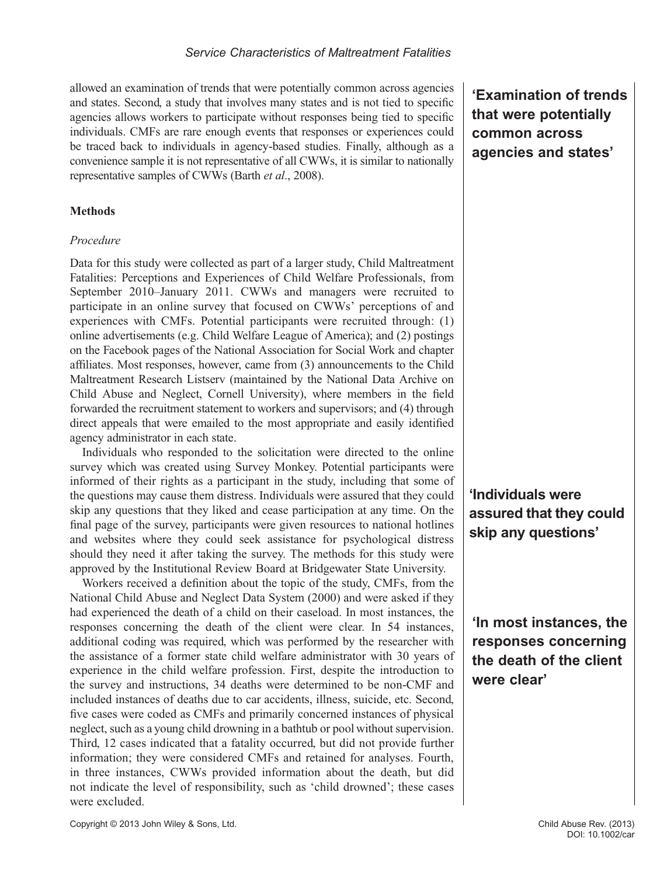allowed an examination of trends that were potentially common across agencies and states. Second, a study that involves many states and is not tied to specific agencies allows workers to participate without responses being tied to specific individuals. CMFs are rare enough events that responses or experiences could be traced back to individuals in agency-based studies. Finally, although as a convenience sample it is not representative of all CWWs, it is similar to nationally representative samples of CWWs (Barth et al., 2008).

#### **Methods**

#### Procedure

Data for this study were collected as part of a larger study, Child Maltreatment Fatalities: Perceptions and Experiences of Child Welfare Professionals, from September 2010–January 2011. CWWs and managers were recruited to participate in an online survey that focused on CWWs' perceptions of and experiences with CMFs. Potential participants were recruited through: (1) online advertisements (e.g. Child Welfare League of America); and (2) postings on the Facebook pages of the National Association for Social Work and chapter affiliates. Most responses, however, came from (3) announcements to the Child Maltreatment Research Listserv (maintained by the National Data Archive on Child Abuse and Neglect, Cornell University), where members in the field forwarded the recruitment statement to workers and supervisors; and (4) through direct appeals that were emailed to the most appropriate and easily identified agency administrator in each state.

Individuals who responded to the solicitation were directed to the online survey which was created using Survey Monkey. Potential participants were informed of their rights as a participant in the study, including that some of the questions may cause them distress. Individuals were assured that they could skip any questions that they liked and cease participation at any time. On the final page of the survey, participants were given resources to national hotlines and websites where they could seek assistance for psychological distress should they need it after taking the survey. The methods for this study were approved by the Institutional Review Board at Bridgewater State University.

Workers received a definition about the topic of the study, CMFs, from the National Child Abuse and Neglect Data System (2000) and were asked if they had experienced the death of a child on their caseload. In most instances, the responses concerning the death of the client were clear. In 54 instances, additional coding was required, which was performed by the researcher with the assistance of a former state child welfare administrator with 30 years of experience in the child welfare profession. First, despite the introduction to the survey and instructions, 34 deaths were determined to be non-CMF and included instances of deaths due to car accidents, illness, suicide, etc. Second, five cases were coded as CMFs and primarily concerned instances of physical neglect, such as a young child drowning in a bathtub or pool without supervision. Third, 12 cases indicated that a fatality occurred, but did not provide further information; they were considered CMFs and retained for analyses. Fourth, in three instances, CWWs provided information about the death, but did not indicate the level of responsibility, such as 'child drowned'; these cases were excluded.

'Examination of trends that were potentially common across agencies and states'

'Individuals were assured that they could skip any questions'

'In most instances, the responses concerning the death of the client were clear'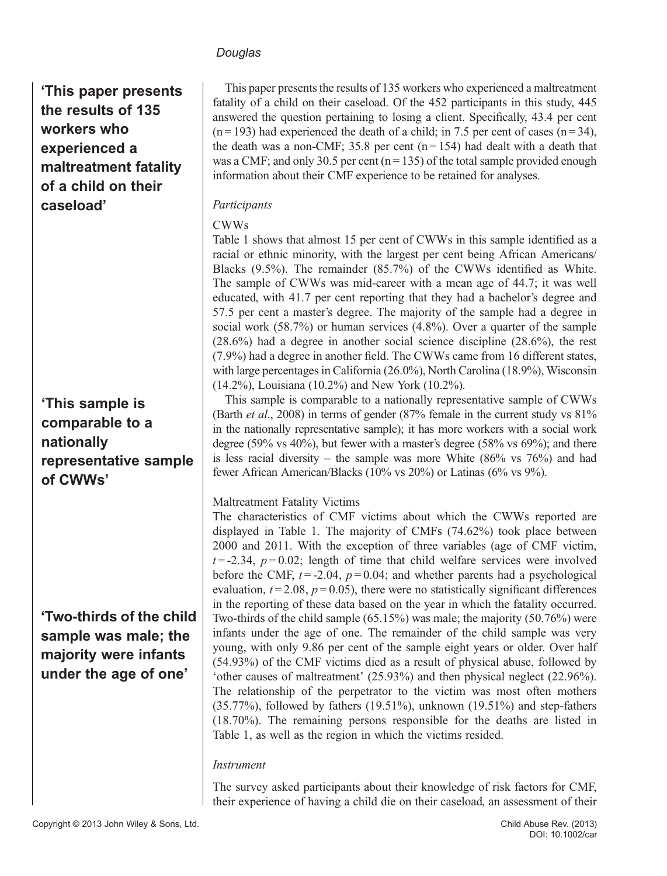'This paper presents the results of 135 workers who experienced a maltreatment fatality of a child on their caseload'

# 'This sample is comparable to a nationally representative sample of CWWs'

# 'Two-thirds of the child sample was male; the majority were infants under the age of one'

This paper presents the results of 135 workers who experienced a maltreatment fatality of a child on their caseload. Of the 452 participants in this study, 445 answered the question pertaining to losing a client. Specifically, 43.4 per cent  $(n=193)$  had experienced the death of a child; in 7.5 per cent of cases  $(n=34)$ , the death was a non-CMF; 35.8 per cent  $(n = 154)$  had dealt with a death that was a CMF; and only 30.5 per cent ( $n = 135$ ) of the total sample provided enough information about their CMF experience to be retained for analyses.

## Participants

## CWWs

Table 1 shows that almost 15 per cent of CWWs in this sample identified as a racial or ethnic minority, with the largest per cent being African Americans/ Blacks (9.5%). The remainder (85.7%) of the CWWs identified as White. The sample of CWWs was mid-career with a mean age of 44.7; it was well educated, with 41.7 per cent reporting that they had a bachelor's degree and 57.5 per cent a master's degree. The majority of the sample had a degree in social work (58.7%) or human services (4.8%). Over a quarter of the sample (28.6%) had a degree in another social science discipline (28.6%), the rest (7.9%) had a degree in another field. The CWWs came from 16 different states, with large percentages in California (26.0%), North Carolina (18.9%), Wisconsin (14.2%), Louisiana (10.2%) and New York (10.2%).

This sample is comparable to a nationally representative sample of CWWs (Barth et al., 2008) in terms of gender (87% female in the current study vs 81% in the nationally representative sample); it has more workers with a social work degree (59% vs 40%), but fewer with a master's degree (58% vs 69%); and there is less racial diversity – the sample was more White  $(86\% \text{ vs } 76\%)$  and had fewer African American/Blacks (10% vs 20%) or Latinas (6% vs 9%).

# Maltreatment Fatality Victims

The characteristics of CMF victims about which the CWWs reported are displayed in Table 1. The majority of CMFs (74.62%) took place between 2000 and 2011. With the exception of three variables (age of CMF victim,  $t = -2.34$ ,  $p = 0.02$ ; length of time that child welfare services were involved before the CMF,  $t = -2.04$ ,  $p = 0.04$ ; and whether parents had a psychological evaluation,  $t = 2.08$ ,  $p = 0.05$ ), there were no statistically significant differences in the reporting of these data based on the year in which the fatality occurred. Two-thirds of the child sample (65.15%) was male; the majority (50.76%) were infants under the age of one. The remainder of the child sample was very young, with only 9.86 per cent of the sample eight years or older. Over half (54.93%) of the CMF victims died as a result of physical abuse, followed by 'other causes of maltreatment' (25.93%) and then physical neglect (22.96%). The relationship of the perpetrator to the victim was most often mothers (35.77%), followed by fathers (19.51%), unknown (19.51%) and step-fathers (18.70%). The remaining persons responsible for the deaths are listed in Table 1, as well as the region in which the victims resided.

#### Instrument

The survey asked participants about their knowledge of risk factors for CMF, their experience of having a child die on their caseload, an assessment of their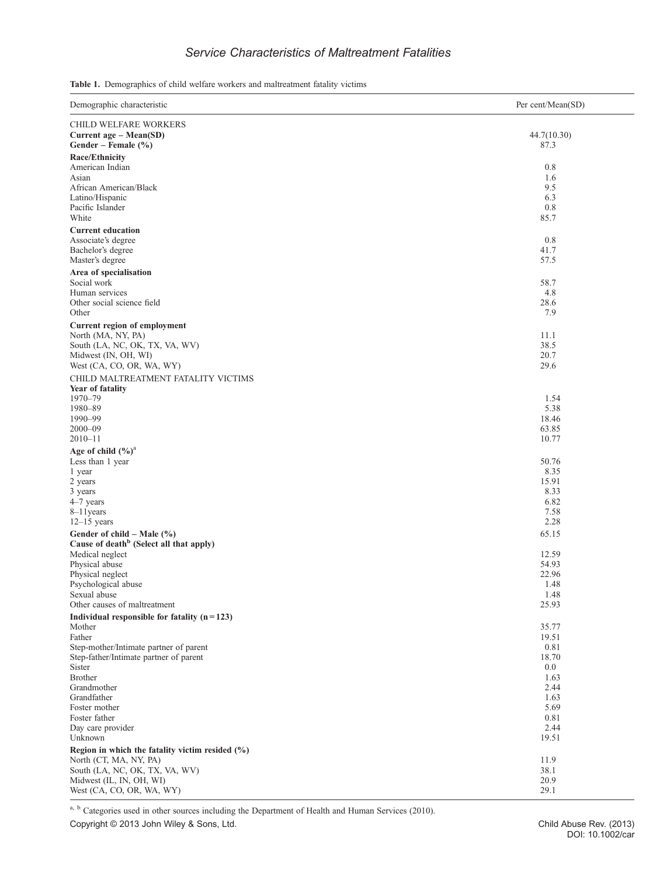# Service Characteristics of Maltreatment Fatalities

Table 1. Demographics of child welfare workers and maltreatment fatality victims

| Demographic characteristic                                                        | Per cent/Mean(SD) |
|-----------------------------------------------------------------------------------|-------------------|
| CHILD WELFARE WORKERS                                                             |                   |
| Current age - Mean(SD)                                                            | 44.7(10.30)       |
| Gender – Female $(\% )$                                                           | 87.3              |
| <b>Race/Ethnicity</b>                                                             |                   |
| American Indian                                                                   | 0.8               |
| Asian<br>African American/Black                                                   | 1.6<br>9.5        |
| Latino/Hispanic                                                                   | 6.3               |
| Pacific Islander                                                                  | 0.8               |
| White                                                                             | 85.7              |
| <b>Current education</b>                                                          |                   |
| Associate's degree                                                                | 0.8               |
| Bachelor's degree                                                                 | 41.7              |
| Master's degree                                                                   | 57.5              |
| Area of specialisation                                                            |                   |
| Social work                                                                       | 58.7              |
| Human services<br>Other social science field                                      | 4.8<br>28.6       |
| Other                                                                             | 7.9               |
| Current region of employment                                                      |                   |
| North (MA, NY, PA)                                                                | 11.1              |
| South (LA, NC, OK, TX, VA, WV)                                                    | 38.5              |
| Midwest (IN, OH, WI)                                                              | 20.7              |
| West (CA, CO, OR, WA, WY)                                                         | 29.6              |
| CHILD MALTREATMENT FATALITY VICTIMS                                               |                   |
| Year of fatality                                                                  |                   |
| 1970-79                                                                           | 1.54              |
| 1980-89                                                                           | 5.38              |
| 1990-99<br>$2000 - 09$                                                            | 18.46<br>63.85    |
| $2010 - 11$                                                                       | 10.77             |
| Age of child $(\frac{6}{6})^a$                                                    |                   |
| Less than 1 year                                                                  | 50.76             |
| 1 year                                                                            | 8.35              |
| 2 years                                                                           | 15.91             |
| 3 years                                                                           | 8.33              |
| $4-7$ years                                                                       | 6.82              |
| $8-11$ years<br>$12-15$ years                                                     | 7.58<br>2.28      |
|                                                                                   | 65.15             |
| Gender of child - Male (%)<br>Cause of death <sup>b</sup> (Select all that apply) |                   |
| Medical neglect                                                                   | 12.59             |
| Physical abuse                                                                    | 54.93             |
| Physical neglect                                                                  | 22.96             |
| Psychological abuse                                                               | 1.48              |
| Sexual abuse                                                                      | 1.48              |
| Other causes of maltreatment                                                      | 25.93             |
| Individual responsible for fatality $(n=123)$<br>Mother                           | 35.77             |
| Father                                                                            | 19.51             |
| Step-mother/Intimate partner of parent                                            | 0.81              |
| Step-father/Intimate partner of parent                                            | 18.70             |
| Sister                                                                            | 0.0               |
| <b>Brother</b>                                                                    | 1.63              |
| Grandmother<br>Grandfather                                                        | 2.44              |
| Foster mother                                                                     | 1.63<br>5.69      |
| Foster father                                                                     | 0.81              |
| Day care provider                                                                 | 2.44              |
| Unknown                                                                           | 19.51             |
| Region in which the fatality victim resided $(\%)$                                |                   |
| North (CT, MA, NY, PA)                                                            | 11.9              |
| South (LA, NC, OK, TX, VA, WV)                                                    | 38.1              |
| Midwest (IL, IN, OH, WI)<br>West (CA, CO, OR, WA, WY)                             | 20.9<br>29.1      |
|                                                                                   |                   |

a, b Categories used in other sources including the Department of Health and Human Services (2010).

Copyright © 2013 John Wiley & Sons, Ltd.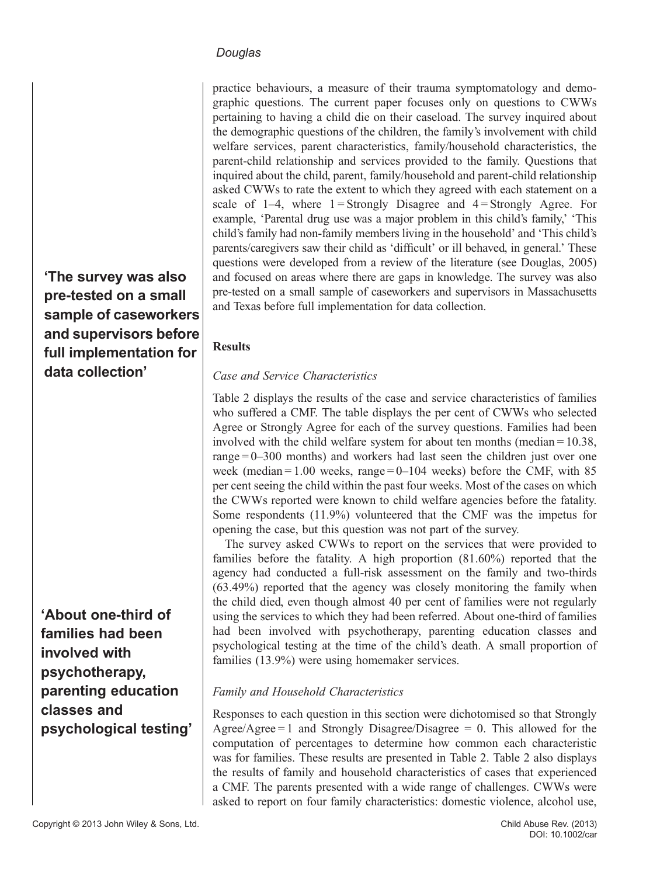practice behaviours, a measure of their trauma symptomatology and demographic questions. The current paper focuses only on questions to CWWs pertaining to having a child die on their caseload. The survey inquired about the demographic questions of the children, the family's involvement with child welfare services, parent characteristics, family/household characteristics, the parent-child relationship and services provided to the family. Questions that inquired about the child, parent, family/household and parent-child relationship asked CWWs to rate the extent to which they agreed with each statement on a scale of  $1-4$ , where  $1 =$ Strongly Disagree and  $4 =$ Strongly Agree. For example, 'Parental drug use was a major problem in this child's family,' 'This child's family had non-family members living in the household' and 'This child's parents/caregivers saw their child as 'difficult' or ill behaved, in general.' These questions were developed from a review of the literature (see Douglas, 2005) and focused on areas where there are gaps in knowledge. The survey was also pre-tested on a small sample of caseworkers and supervisors in Massachusetts and Texas before full implementation for data collection.

#### Results

#### Case and Service Characteristics

Table 2 displays the results of the case and service characteristics of families who suffered a CMF. The table displays the per cent of CWWs who selected Agree or Strongly Agree for each of the survey questions. Families had been involved with the child welfare system for about ten months (median = 10.38, range  $= 0 - 300$  months) and workers had last seen the children just over one week (median =  $1.00$  weeks, range =  $0-104$  weeks) before the CMF, with 85 per cent seeing the child within the past four weeks. Most of the cases on which the CWWs reported were known to child welfare agencies before the fatality. Some respondents (11.9%) volunteered that the CMF was the impetus for opening the case, but this question was not part of the survey.

The survey asked CWWs to report on the services that were provided to families before the fatality. A high proportion (81.60%) reported that the agency had conducted a full-risk assessment on the family and two-thirds (63.49%) reported that the agency was closely monitoring the family when the child died, even though almost 40 per cent of families were not regularly using the services to which they had been referred. About one-third of families had been involved with psychotherapy, parenting education classes and psychological testing at the time of the child's death. A small proportion of families (13.9%) were using homemaker services.

#### Family and Household Characteristics

Responses to each question in this section were dichotomised so that Strongly Agree/Agree = 1 and Strongly Disagree/Disagree = 0. This allowed for the computation of percentages to determine how common each characteristic was for families. These results are presented in Table 2. Table 2 also displays the results of family and household characteristics of cases that experienced a CMF. The parents presented with a wide range of challenges. CWWs were asked to report on four family characteristics: domestic violence, alcohol use,

'The survey was also pre-tested on a small sample of caseworkers and supervisors before full implementation for data collection'

'About one-third of families had been involved with psychotherapy, parenting education classes and psychological testing'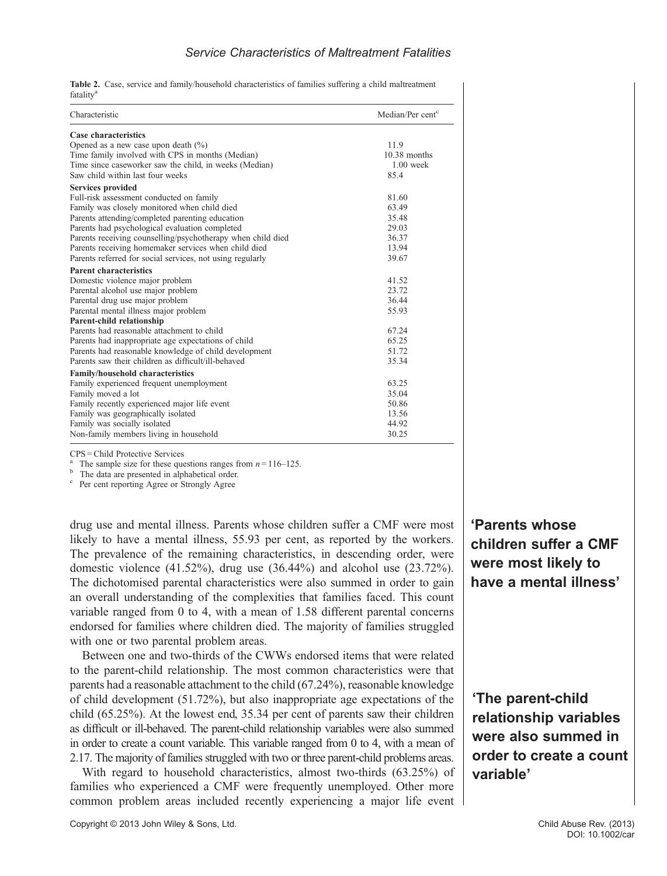#### **Service Characteristics of Maltreatment Fatalities**

Table 2. Case, service and family/household characteristics of families suffering a child maltreatment fatality<sup>a</sup>

| Characteristic                                              | Median/Per cent <sup>c</sup> |  |  |  |
|-------------------------------------------------------------|------------------------------|--|--|--|
| Case characteristics                                        |                              |  |  |  |
| Opened as a new case upon death $(\% )$                     | 11.9                         |  |  |  |
| Time family involved with CPS in months (Median)            | $10.38$ months               |  |  |  |
| Time since caseworker saw the child, in weeks (Median)      | $1.00$ week                  |  |  |  |
| Saw child within last four weeks                            | 85.4                         |  |  |  |
| Services provided                                           |                              |  |  |  |
| Full-risk assessment conducted on family                    | 81.60                        |  |  |  |
| Family was closely monitored when child died                | 63.49                        |  |  |  |
| Parents attending/completed parenting education             | 35.48                        |  |  |  |
| Parents had psychological evaluation completed              | 29.03                        |  |  |  |
| Parents receiving counselling/psychotherapy when child died | 36.37                        |  |  |  |
| Parents receiving homemaker services when child died        | 13.94                        |  |  |  |
| Parents referred for social services, not using regularly   | 39.67                        |  |  |  |
| <b>Parent characteristics</b>                               |                              |  |  |  |
| Domestic violence major problem                             | 41.52                        |  |  |  |
| Parental alcohol use major problem                          | 23.72                        |  |  |  |
| Parental drug use major problem                             | 36.44                        |  |  |  |
| Parental mental illness major problem                       | 55.93                        |  |  |  |
| Parent-child relationship                                   |                              |  |  |  |
| Parents had reasonable attachment to child                  | 67.24                        |  |  |  |
| Parents had inappropriate age expectations of child         | 65.25                        |  |  |  |
| Parents had reasonable knowledge of child development       | 51.72                        |  |  |  |
| Parents saw their children as difficult/ill-behaved         | 35.34                        |  |  |  |
| Family/household characteristics                            |                              |  |  |  |
| Family experienced frequent unemployment                    | 63.25                        |  |  |  |
| Family moved a lot                                          | 35.04                        |  |  |  |
| Family recently experienced major life event                | 50.86                        |  |  |  |
| Family was geographically isolated                          | 13.56                        |  |  |  |
| Family was socially isolated                                | 44.92                        |  |  |  |
| Non-family members living in household                      | 30.25                        |  |  |  |

CPS = Child Protective Services

The sample size for these questions ranges from  $n = 116-125$ .<br>The data are presented in alphabetical order.<br>Per cent reporting Agree or Strongly Agree

drug use and mental illness. Parents whose children suffer a CMF were most likely to have a mental illness, 55.93 per cent, as reported by the workers. The prevalence of the remaining characteristics, in descending order, were domestic violence (41.52%), drug use (36.44%) and alcohol use (23.72%). The dichotomised parental characteristics were also summed in order to gain an overall understanding of the complexities that families faced. This count variable ranged from 0 to 4, with a mean of 1.58 different parental concerns endorsed for families where children died. The majority of families struggled with one or two parental problem areas.

Between one and two-thirds of the CWWs endorsed items that were related to the parent-child relationship. The most common characteristics were that parents had a reasonable attachment to the child (67.24%), reasonable knowledge of child development (51.72%), but also inappropriate age expectations of the child (65.25%). At the lowest end, 35.34 per cent of parents saw their children as difficult or ill-behaved. The parent-child relationship variables were also summed in order to create a count variable. This variable ranged from 0 to 4, with a mean of 2.17. The majority of families struggled with two or three parent-child problems areas.

With regard to household characteristics, almost two-thirds (63.25%) of families who experienced a CMF were frequently unemployed. Other more common problem areas included recently experiencing a major life event

Copyright © 2013 John Wiley & Sons, Ltd. Child Abuse Rev. (2013)

'Parents whose children suffer a CMF were most likely to have a mental illness'

'The parent-child relationship variables were also summed in order to create a count variable'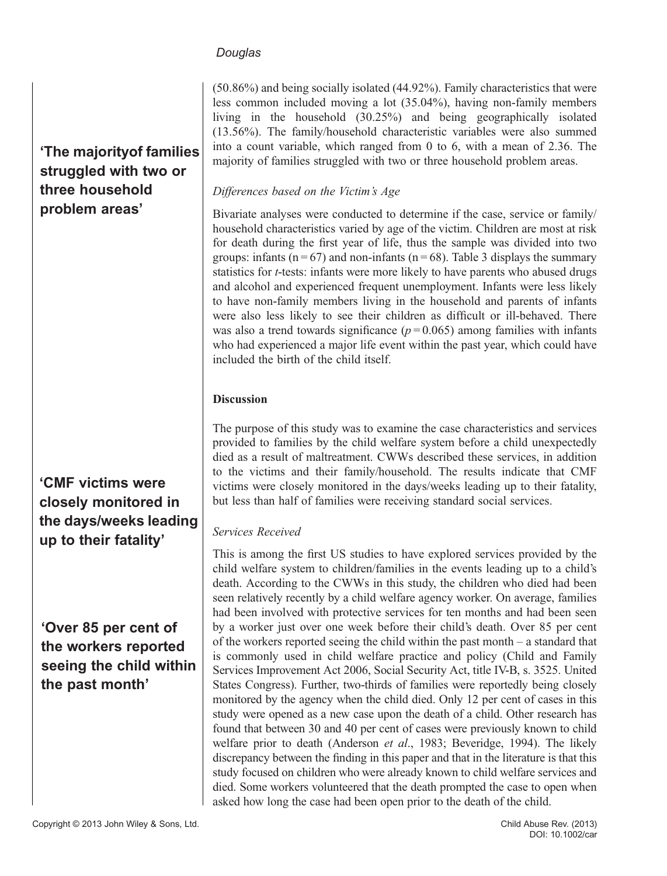'The majorityof families struggled with two or three household problem areas'

# 'CMF victims were closely monitored in the days/weeks leading up to their fatality'

# 'Over 85 per cent of the workers reported seeing the child within the past month'

(50.86%) and being socially isolated (44.92%). Family characteristics that were less common included moving a lot (35.04%), having non-family members living in the household (30.25%) and being geographically isolated (13.56%). The family/household characteristic variables were also summed into a count variable, which ranged from 0 to 6, with a mean of 2.36. The majority of families struggled with two or three household problem areas.

## Differences based on the Victim's Age

Bivariate analyses were conducted to determine if the case, service or family/ household characteristics varied by age of the victim. Children are most at risk for death during the first year of life, thus the sample was divided into two groups: infants ( $n = 67$ ) and non-infants ( $n = 68$ ). Table 3 displays the summary statistics for t-tests: infants were more likely to have parents who abused drugs and alcohol and experienced frequent unemployment. Infants were less likely to have non-family members living in the household and parents of infants were also less likely to see their children as difficult or ill-behaved. There was also a trend towards significance  $(p=0.065)$  among families with infants who had experienced a major life event within the past year, which could have included the birth of the child itself.

# Discussion

The purpose of this study was to examine the case characteristics and services provided to families by the child welfare system before a child unexpectedly died as a result of maltreatment. CWWs described these services, in addition to the victims and their family/household. The results indicate that CMF victims were closely monitored in the days/weeks leading up to their fatality, but less than half of families were receiving standard social services.

#### Services Received

This is among the first US studies to have explored services provided by the child welfare system to children/families in the events leading up to a child's death. According to the CWWs in this study, the children who died had been seen relatively recently by a child welfare agency worker. On average, families had been involved with protective services for ten months and had been seen by a worker just over one week before their child's death. Over 85 per cent of the workers reported seeing the child within the past month – a standard that is commonly used in child welfare practice and policy (Child and Family Services Improvement Act 2006, Social Security Act, title IV-B, s. 3525. United States Congress). Further, two-thirds of families were reportedly being closely monitored by the agency when the child died. Only 12 per cent of cases in this study were opened as a new case upon the death of a child. Other research has found that between 30 and 40 per cent of cases were previously known to child welfare prior to death (Anderson et al., 1983; Beveridge, 1994). The likely discrepancy between the finding in this paper and that in the literature is that this study focused on children who were already known to child welfare services and died. Some workers volunteered that the death prompted the case to open when asked how long the case had been open prior to the death of the child.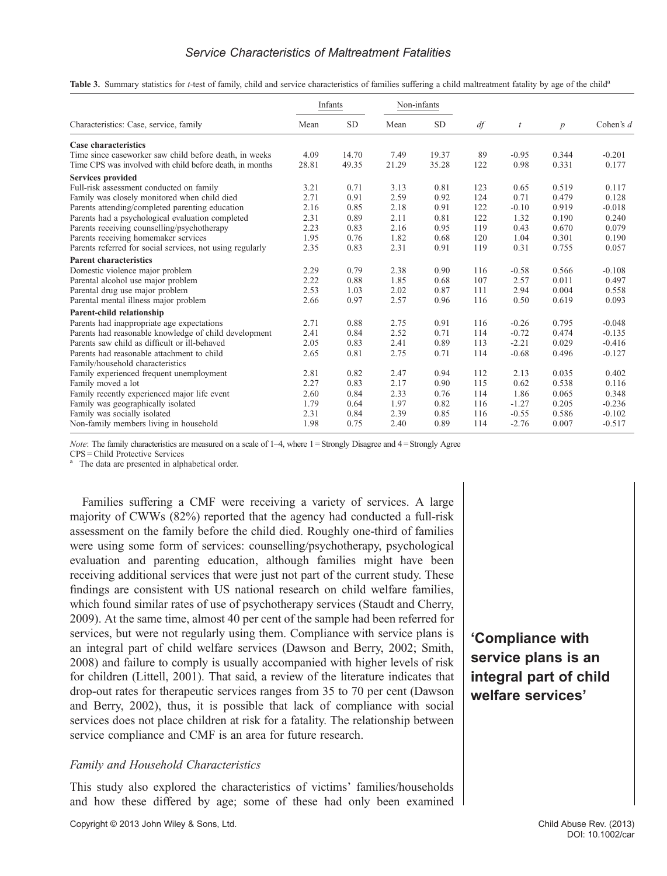#### **Service Characteristics of Maltreatment Fatalities**

Table 3. Summary statistics for *t*-test of family, child and service characteristics of families suffering a child maltreatment fatality by age of the child<sup>a</sup>

| Characteristics: Case, service, family                    | Infants |           | Non-infants |           |     |         |                  |             |
|-----------------------------------------------------------|---------|-----------|-------------|-----------|-----|---------|------------------|-------------|
|                                                           | Mean    | <b>SD</b> | Mean        | <b>SD</b> | df  | t       | $\boldsymbol{p}$ | Cohen's $d$ |
| <b>Case characteristics</b>                               |         |           |             |           |     |         |                  |             |
| Time since caseworker saw child before death, in weeks    | 4.09    | 14.70     | 7.49        | 19.37     | 89  | $-0.95$ | 0.344            | $-0.201$    |
| Time CPS was involved with child before death, in months  | 28.81   | 49.35     | 21.29       | 35.28     | 122 | 0.98    | 0.331            | 0.177       |
| <b>Services provided</b>                                  |         |           |             |           |     |         |                  |             |
| Full-risk assessment conducted on family                  | 3.21    | 0.71      | 3.13        | 0.81      | 123 | 0.65    | 0.519            | 0.117       |
| Family was closely monitored when child died              | 2.71    | 0.91      | 2.59        | 0.92      | 124 | 0.71    | 0.479            | 0.128       |
| Parents attending/completed parenting education           | 2.16    | 0.85      | 2.18        | 0.91      | 122 | $-0.10$ | 0.919            | $-0.018$    |
| Parents had a psychological evaluation completed          | 2.31    | 0.89      | 2.11        | 0.81      | 122 | 1.32    | 0.190            | 0.240       |
| Parents receiving counselling/psychotherapy               | 2.23    | 0.83      | 2.16        | 0.95      | 119 | 0.43    | 0.670            | 0.079       |
| Parents receiving homemaker services                      | 1.95    | 0.76      | 1.82        | 0.68      | 120 | 1.04    | 0.301            | 0.190       |
| Parents referred for social services, not using regularly | 2.35    | 0.83      | 2.31        | 0.91      | 119 | 0.31    | 0.755            | 0.057       |
| <b>Parent characteristics</b>                             |         |           |             |           |     |         |                  |             |
| Domestic violence major problem                           | 2.29    | 0.79      | 2.38        | 0.90      | 116 | $-0.58$ | 0.566            | $-0.108$    |
| Parental alcohol use major problem                        | 2.22    | 0.88      | 1.85        | 0.68      | 107 | 2.57    | 0.011            | 0.497       |
| Parental drug use major problem                           | 2.53    | 1.03      | 2.02        | 0.87      | 111 | 2.94    | 0.004            | 0.558       |
| Parental mental illness major problem                     | 2.66    | 0.97      | 2.57        | 0.96      | 116 | 0.50    | 0.619            | 0.093       |
| Parent-child relationship                                 |         |           |             |           |     |         |                  |             |
| Parents had inappropriate age expectations                | 2.71    | 0.88      | 2.75        | 0.91      | 116 | $-0.26$ | 0.795            | $-0.048$    |
| Parents had reasonable knowledge of child development     | 2.41    | 0.84      | 2.52        | 0.71      | 114 | $-0.72$ | 0.474            | $-0.135$    |
| Parents saw child as difficult or ill-behaved             | 2.05    | 0.83      | 2.41        | 0.89      | 113 | $-2.21$ | 0.029            | $-0.416$    |
| Parents had reasonable attachment to child                | 2.65    | 0.81      | 2.75        | 0.71      | 114 | $-0.68$ | 0.496            | $-0.127$    |
| Family/household characteristics                          |         |           |             |           |     |         |                  |             |
| Family experienced frequent unemployment                  | 2.81    | 0.82      | 2.47        | 0.94      | 112 | 2.13    | 0.035            | 0.402       |
| Family moved a lot                                        | 2.27    | 0.83      | 2.17        | 0.90      | 115 | 0.62    | 0.538            | 0.116       |
| Family recently experienced major life event              | 2.60    | 0.84      | 2.33        | 0.76      | 114 | 1.86    | 0.065            | 0.348       |
| Family was geographically isolated                        | 1.79    | 0.64      | 1.97        | 0.82      | 116 | $-1.27$ | 0.205            | $-0.236$    |
| Family was socially isolated                              | 2.31    | 0.84      | 2.39        | 0.85      | 116 | $-0.55$ | 0.586            | $-0.102$    |
| Non-family members living in household                    | 1.98    | 0.75      | 2.40        | 0.89      | 114 | $-2.76$ | 0.007            | $-0.517$    |

Note: The family characteristics are measured on a scale of 1–4, where 1 = Strongly Disagree and 4 = Strongly Agree

CPS = Child Protective Services

The data are presented in alphabetical order.

Families suffering a CMF were receiving a variety of services. A large majority of CWWs (82%) reported that the agency had conducted a full-risk assessment on the family before the child died. Roughly one-third of families were using some form of services: counselling/psychotherapy, psychological evaluation and parenting education, although families might have been receiving additional services that were just not part of the current study. These findings are consistent with US national research on child welfare families, which found similar rates of use of psychotherapy services (Staudt and Cherry, 2009). At the same time, almost 40 per cent of the sample had been referred for services, but were not regularly using them. Compliance with service plans is an integral part of child welfare services (Dawson and Berry, 2002; Smith, 2008) and failure to comply is usually accompanied with higher levels of risk for children (Littell, 2001). That said, a review of the literature indicates that drop-out rates for therapeutic services ranges from 35 to 70 per cent (Dawson and Berry, 2002), thus, it is possible that lack of compliance with social services does not place children at risk for a fatality. The relationship between service compliance and CMF is an area for future research.

#### Family and Household Characteristics

This study also explored the characteristics of victims' families/households and how these differed by age; some of these had only been examined

'Compliance with service plans is an integral part of child welfare services'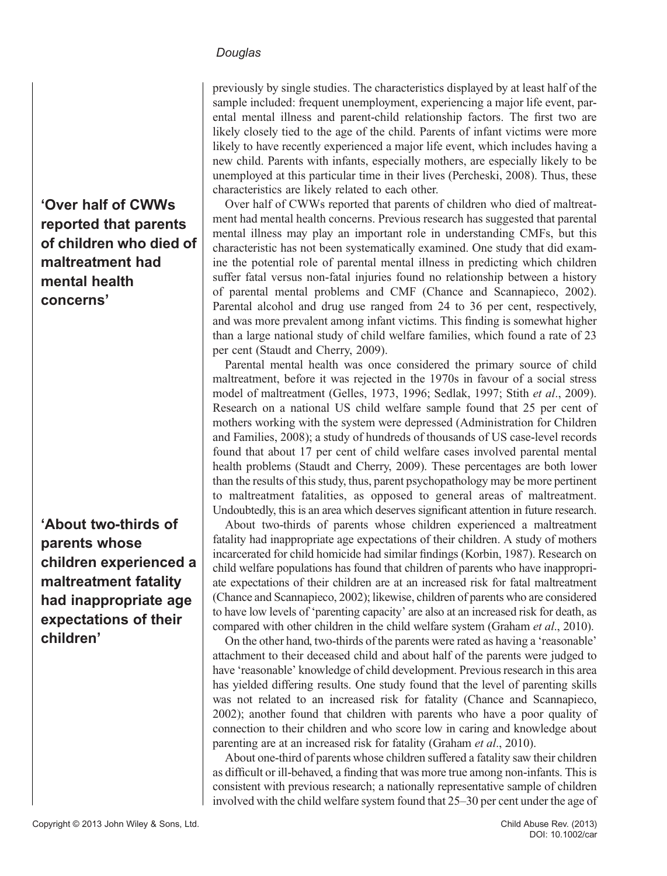previously by single studies. The characteristics displayed by at least half of the sample included: frequent unemployment, experiencing a major life event, parental mental illness and parent-child relationship factors. The first two are likely closely tied to the age of the child. Parents of infant victims were more likely to have recently experienced a major life event, which includes having a new child. Parents with infants, especially mothers, are especially likely to be unemployed at this particular time in their lives (Percheski, 2008). Thus, these characteristics are likely related to each other.

Over half of CWWs reported that parents of children who died of maltreatment had mental health concerns. Previous research has suggested that parental mental illness may play an important role in understanding CMFs, but this characteristic has not been systematically examined. One study that did examine the potential role of parental mental illness in predicting which children suffer fatal versus non-fatal injuries found no relationship between a history of parental mental problems and CMF (Chance and Scannapieco, 2002). Parental alcohol and drug use ranged from 24 to 36 per cent, respectively, and was more prevalent among infant victims. This finding is somewhat higher than a large national study of child welfare families, which found a rate of 23 per cent (Staudt and Cherry, 2009).

Parental mental health was once considered the primary source of child maltreatment, before it was rejected in the 1970s in favour of a social stress model of maltreatment (Gelles, 1973, 1996; Sedlak, 1997; Stith et al., 2009). Research on a national US child welfare sample found that 25 per cent of mothers working with the system were depressed (Administration for Children and Families, 2008); a study of hundreds of thousands of US case-level records found that about 17 per cent of child welfare cases involved parental mental health problems (Staudt and Cherry, 2009). These percentages are both lower than the results of this study, thus, parent psychopathology may be more pertinent to maltreatment fatalities, as opposed to general areas of maltreatment. Undoubtedly, this is an area which deserves significant attention in future research.

About two-thirds of parents whose children experienced a maltreatment fatality had inappropriate age expectations of their children. A study of mothers incarcerated for child homicide had similar findings (Korbin, 1987). Research on child welfare populations has found that children of parents who have inappropriate expectations of their children are at an increased risk for fatal maltreatment (Chance and Scannapieco, 2002); likewise, children of parents who are considered to have low levels of 'parenting capacity' are also at an increased risk for death, as compared with other children in the child welfare system (Graham *et al.*, 2010).

On the other hand, two-thirds of the parents were rated as having a 'reasonable' attachment to their deceased child and about half of the parents were judged to have 'reasonable' knowledge of child development. Previous research in this area has yielded differing results. One study found that the level of parenting skills was not related to an increased risk for fatality (Chance and Scannapieco, 2002); another found that children with parents who have a poor quality of connection to their children and who score low in caring and knowledge about parenting are at an increased risk for fatality (Graham *et al.*, 2010).

About one-third of parents whose children suffered a fatality saw their children as difficult or ill-behaved, a finding that was more true among non-infants. This is consistent with previous research; a nationally representative sample of children involved with the child welfare system found that 25–30 per cent under the age of

'Over half of CWWs reported that parents of children who died of maltreatment had mental health concerns'

'About two-thirds of parents whose children experienced a maltreatment fatality had inappropriate age expectations of their children'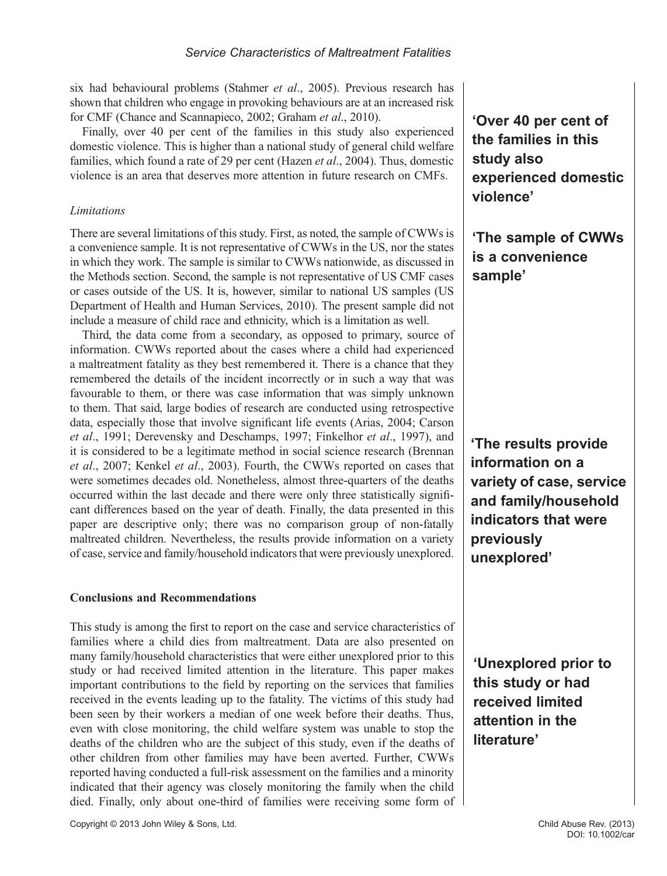six had behavioural problems (Stahmer et al., 2005). Previous research has shown that children who engage in provoking behaviours are at an increased risk for CMF (Chance and Scannapieco, 2002; Graham et al., 2010).

Finally, over 40 per cent of the families in this study also experienced domestic violence. This is higher than a national study of general child welfare families, which found a rate of 29 per cent (Hazen et al., 2004). Thus, domestic violence is an area that deserves more attention in future research on CMFs.

#### **Limitations**

There are several limitations of this study. First, as noted, the sample of CWWs is a convenience sample. It is not representative of CWWs in the US, nor the states in which they work. The sample is similar to CWWs nationwide, as discussed in the Methods section. Second, the sample is not representative of US CMF cases or cases outside of the US. It is, however, similar to national US samples (US Department of Health and Human Services, 2010). The present sample did not include a measure of child race and ethnicity, which is a limitation as well.

Third, the data come from a secondary, as opposed to primary, source of information. CWWs reported about the cases where a child had experienced a maltreatment fatality as they best remembered it. There is a chance that they remembered the details of the incident incorrectly or in such a way that was favourable to them, or there was case information that was simply unknown to them. That said, large bodies of research are conducted using retrospective data, especially those that involve significant life events (Arias, 2004; Carson et al., 1991; Derevensky and Deschamps, 1997; Finkelhor et al., 1997), and it is considered to be a legitimate method in social science research (Brennan et al., 2007; Kenkel et al., 2003). Fourth, the CWWs reported on cases that were sometimes decades old. Nonetheless, almost three-quarters of the deaths occurred within the last decade and there were only three statistically significant differences based on the year of death. Finally, the data presented in this paper are descriptive only; there was no comparison group of non-fatally maltreated children. Nevertheless, the results provide information on a variety of case, service and family/household indicators that were previously unexplored.

#### Conclusions and Recommendations

This study is among the first to report on the case and service characteristics of families where a child dies from maltreatment. Data are also presented on many family/household characteristics that were either unexplored prior to this study or had received limited attention in the literature. This paper makes important contributions to the field by reporting on the services that families received in the events leading up to the fatality. The victims of this study had been seen by their workers a median of one week before their deaths. Thus, even with close monitoring, the child welfare system was unable to stop the deaths of the children who are the subject of this study, even if the deaths of other children from other families may have been averted. Further, CWWs reported having conducted a full-risk assessment on the families and a minority indicated that their agency was closely monitoring the family when the child died. Finally, only about one-third of families were receiving some form of 'Over 40 per cent of the families in this study also experienced domestic violence'

'The sample of CWWs is a convenience sample'

'The results provide information on a variety of case, service and family/household indicators that were previously unexplored'

'Unexplored prior to this study or had received limited attention in the literature'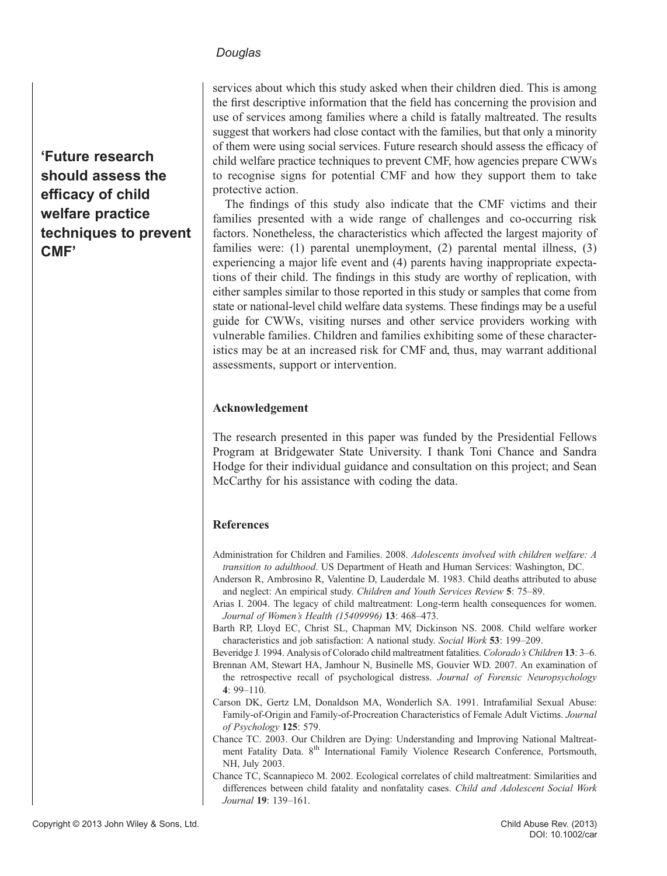'Future research should assess the efficacy of child welfare practice techniques to prevent CMF'

services about which this study asked when their children died. This is among the first descriptive information that the field has concerning the provision and use of services among families where a child is fatally maltreated. The results suggest that workers had close contact with the families, but that only a minority of them were using social services. Future research should assess the efficacy of child welfare practice techniques to prevent CMF, how agencies prepare CWWs to recognise signs for potential CMF and how they support them to take protective action.

The findings of this study also indicate that the CMF victims and their families presented with a wide range of challenges and co-occurring risk factors. Nonetheless, the characteristics which affected the largest majority of families were: (1) parental unemployment, (2) parental mental illness, (3) experiencing a major life event and (4) parents having inappropriate expectations of their child. The findings in this study are worthy of replication, with either samples similar to those reported in this study or samples that come from state or national-level child welfare data systems. These findings may be a useful guide for CWWs, visiting nurses and other service providers working with vulnerable families. Children and families exhibiting some of these characteristics may be at an increased risk for CMF and, thus, may warrant additional assessments, support or intervention.

#### Acknowledgement

The research presented in this paper was funded by the Presidential Fellows Program at Bridgewater State University. I thank Toni Chance and Sandra Hodge for their individual guidance and consultation on this project; and Sean McCarthy for his assistance with coding the data.

#### References

- Administration for Children and Families. 2008. Adolescents involved with children welfare: A transition to adulthood. US Department of Heath and Human Services: Washington, DC.
- Anderson R, Ambrosino R, Valentine D, Lauderdale M. 1983. Child deaths attributed to abuse and neglect: An empirical study. Children and Youth Services Review 5: 75–89.
- Arias I. 2004. The legacy of child maltreatment: Long-term health consequences for women. Journal of Women's Health (15409996) 13: 468–473.
- Barth RP, Lloyd EC, Christ SL, Chapman MV, Dickinson NS. 2008. Child welfare worker characteristics and job satisfaction: A national study. Social Work 53: 199–209.
- Beveridge J. 1994. Analysis of Colorado child maltreatment fatalities. Colorado's Children 13: 3–6.
- Brennan AM, Stewart HA, Jamhour N, Businelle MS, Gouvier WD. 2007. An examination of the retrospective recall of psychological distress. Journal of Forensic Neuropsychology 4: 99–110.
- Carson DK, Gertz LM, Donaldson MA, Wonderlich SA. 1991. Intrafamilial Sexual Abuse: Family-of-Origin and Family-of-Procreation Characteristics of Female Adult Victims. Journal of Psychology 125: 579.
- Chance TC. 2003. Our Children are Dying: Understanding and Improving National Maltreatment Fatality Data. 8<sup>th</sup> International Family Violence Research Conference, Portsmouth, NH, July 2003.
- Chance TC, Scannapieco M. 2002. Ecological correlates of child maltreatment: Similarities and differences between child fatality and nonfatality cases. Child and Adolescent Social Work Journal 19: 139–161.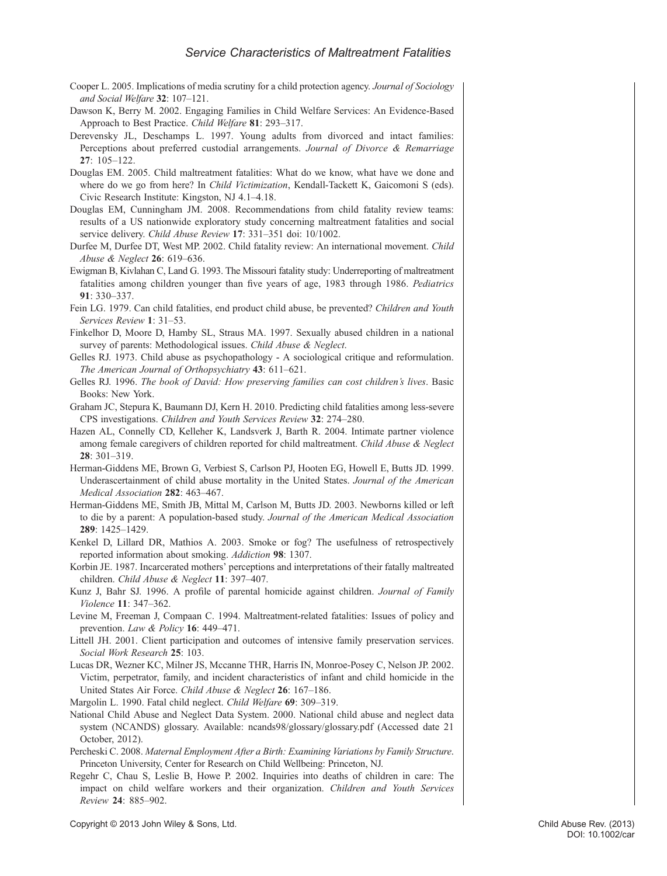- Cooper L. 2005. Implications of media scrutiny for a child protection agency. Journal of Sociology and Social Welfare 32: 107–121.
- Dawson K, Berry M. 2002. Engaging Families in Child Welfare Services: An Evidence-Based Approach to Best Practice. Child Welfare 81: 293–317.
- Derevensky JL, Deschamps L. 1997. Young adults from divorced and intact families: Perceptions about preferred custodial arrangements. Journal of Divorce & Remarriage  $27 \cdot 105 - 122$
- Douglas EM. 2005. Child maltreatment fatalities: What do we know, what have we done and where do we go from here? In *Child Victimization*, Kendall-Tackett K, Gaicomoni S (eds). Civic Research Institute: Kingston, NJ 4.1–4.18.
- Douglas EM, Cunningham JM. 2008. Recommendations from child fatality review teams: results of a US nationwide exploratory study concerning maltreatment fatalities and social service delivery. Child Abuse Review 17: 331–351 doi: 10/1002.
- Durfee M, Durfee DT, West MP. 2002. Child fatality review: An international movement. Child Abuse & Neglect 26: 619–636.
- Ewigman B, Kivlahan C, Land G. 1993. The Missouri fatality study: Underreporting of maltreatment fatalities among children younger than five years of age, 1983 through 1986. Pediatrics 91: 330–337.
- Fein LG. 1979. Can child fatalities, end product child abuse, be prevented? Children and Youth Services Review 1: 31–53.
- Finkelhor D, Moore D, Hamby SL, Straus MA. 1997. Sexually abused children in a national survey of parents: Methodological issues. Child Abuse & Neglect.
- Gelles RJ. 1973. Child abuse as psychopathology A sociological critique and reformulation. The American Journal of Orthopsychiatry 43: 611–621.
- Gelles RJ. 1996. The book of David: How preserving families can cost children's lives. Basic Books: New York.
- Graham JC, Stepura K, Baumann DJ, Kern H. 2010. Predicting child fatalities among less-severe CPS investigations. Children and Youth Services Review 32: 274–280.
- Hazen AL, Connelly CD, Kelleher K, Landsverk J, Barth R. 2004. Intimate partner violence among female caregivers of children reported for child maltreatment. Child Abuse & Neglect 28: 301–319.
- Herman-Giddens ME, Brown G, Verbiest S, Carlson PJ, Hooten EG, Howell E, Butts JD. 1999. Underascertainment of child abuse mortality in the United States. Journal of the American Medical Association 282: 463–467.
- Herman-Giddens ME, Smith JB, Mittal M, Carlson M, Butts JD. 2003. Newborns killed or left to die by a parent: A population-based study. Journal of the American Medical Association 289: 1425–1429.
- Kenkel D, Lillard DR, Mathios A. 2003. Smoke or fog? The usefulness of retrospectively reported information about smoking. Addiction 98: 1307.
- Korbin JE. 1987. Incarcerated mothers' perceptions and interpretations of their fatally maltreated children. Child Abuse & Neglect 11: 397–407.
- Kunz J, Bahr SJ. 1996. A profile of parental homicide against children. Journal of Family Violence 11: 347–362.
- Levine M, Freeman J, Compaan C. 1994. Maltreatment-related fatalities: Issues of policy and prevention. Law & Policy 16: 449–471.
- Littell JH. 2001. Client participation and outcomes of intensive family preservation services. Social Work Research 25: 103.
- Lucas DR, Wezner KC, Milner JS, Mccanne THR, Harris IN, Monroe-Posey C, Nelson JP. 2002. Victim, perpetrator, family, and incident characteristics of infant and child homicide in the United States Air Force. Child Abuse & Neglect 26: 167–186.
- Margolin L. 1990. Fatal child neglect. Child Welfare 69: 309–319.
- National Child Abuse and Neglect Data System. 2000. National child abuse and neglect data system (NCANDS) glossary. Available: [ncands98/glossary/glossary.pdf](http://ncands98/glossary/glossary.pdf) (Accessed date 21 October, 2012).
- Percheski C. 2008. Maternal Employment After a Birth: Examining Variations by Family Structure. Princeton University, Center for Research on Child Wellbeing: Princeton, NJ.
- Regehr C, Chau S, Leslie B, Howe P. 2002. Inquiries into deaths of children in care: The impact on child welfare workers and their organization. Children and Youth Services Review 24: 885–902.